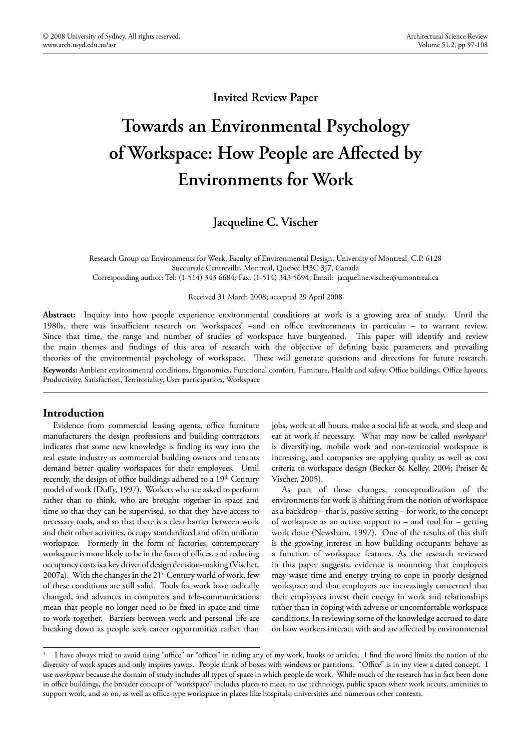# **Invited Review Paper**

# **Towards an Environmental Psychology of Workspace: How People are Affected by Environments for Work**

## **Jacqueline C. Vischer**

Research Group on Environments for Work, Faculty of Environmental Design, University of Montreal, C.P. 6128 Succursale Centreville, Montreal, Quebec H3C 3J7, Canada Corresponding author: Tel: (1-514) 343 6684; Fax: (1-514) 343 5694; Email: jacqueline.vischer@umontreal.ca

Received 31 March 2008; accepted 29 April 2008

**Abstract:** Inquiry into how people experience environmental conditions at work is a growing area of study. Until the 1980s, there was insufficient research on 'workspaces' –and on office environments in particular – to warrant review. Since that time, the range and number of studies of workspace have burgeoned. This paper will identify and review the main themes and findings of this area of research with the objective of defining basic parameters and prevailing theories of the environmental psychology of workspace. These will generate questions and directions for future research. **Keywords:** Ambient environmental conditions, Ergonomics, Functional comfort, Furniture, Health and safety, Office buildings, Office layouts, Productivity, Satisfaction, Territoriality, User participation, Workspace

## **Introduction**

Evidence from commercial leasing agents, office furniture manufacturers the design professions and building contractors indicates that some new knowledge is finding its way into the real estate industry as commercial building owners and tenants demand better quality workspaces for their employees. Until recently, the design of office buildings adhered to a 19<sup>th</sup> Century model of work (Duffy, 1997). Workers who are asked to perform rather than to think, who are brought together in space and time so that they can be supervised, so that they have access to necessary tools, and so that there is a clear barrier between work and their other activities, occupy standardized and often uniform workspace. Formerly in the form of factories, contemporary workspace is more likely to be in the form of offices, and reducing occupancy costs is a key driver of design decision-making (Vischer, 2007a). With the changes in the  $21<sup>st</sup>$  Century world of work, few of these conditions are still valid. Tools for work have radically changed, and advances in computers and tele-communications mean that people no longer need to be fixed in space and time to work together. Barriers between work and personal life are breaking down as people seek career opportunities rather than jobs, work at all hours, make a social life at work, and sleep and eat at work if necessary. What may now be called *workspace*<sup>1</sup> is diversifying, mobile work and non-territorial workspace is increasing, and companies are applying quality as well as cost criteria to workspace design (Becker & Kelley, 2004; Preiser & Vischer, 2005).

As part of these changes, conceptualization of the environments for work is shifting from the notion of workspace as a backdrop – that is, passive setting – for work, to the concept of workspace as an active support to – and tool for – getting work done (Newsham, 1997). One of the results of this shift is the growing interest in how building occupants behave as a function of workspace features. As the research reviewed in this paper suggests, evidence is mounting that employees may waste time and energy trying to cope in poorly designed workspace and that employers are increasingly concerned that their employees invest their energy in work and relationships rather than in coping with adverse or uncomfortable workspace conditions. In reviewing some of the knowledge accrued to date on how workers interact with and are affected by environmental

<sup>1</sup> I have always tried to avoid using "office" or "offices" in titling any of my work, books or articles. I find the word limits the notion of the diversity of work spaces and only inspires yawns. People think of boxes with windows or partitions. "Office" is in my view a dated concept. I use *workspace* because the domain of study includes all types of space in which people do work. While much of the research has in fact been done in office buildings, the broader concept of "workspace" includes places to meet, to use technology, public spaces where work occurs, amenities to support work, and so on, as well as office-type workspace in places like hospitals, universities and numerous other contexts.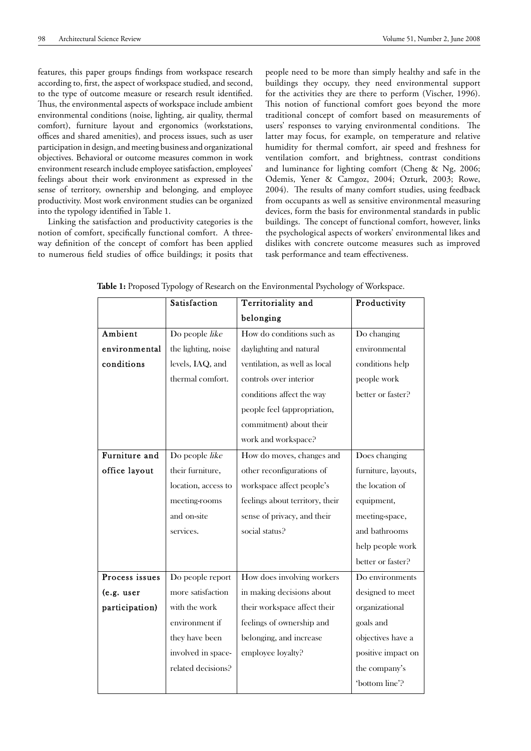features, this paper groups findings from workspace research according to, first, the aspect of workspace studied, and second, to the type of outcome measure or research result identified. Thus, the environmental aspects of workspace include ambient environmental conditions (noise, lighting, air quality, thermal comfort), furniture layout and ergonomics (workstations, offices and shared amenities), and process issues, such as user participation in design, and meeting business and organizational objectives. Behavioral or outcome measures common in work environment research include employee satisfaction, employees' feelings about their work environment as expressed in the sense of territory, ownership and belonging, and employee productivity. Most work environment studies can be organized into the typology identified in Table 1.

Linking the satisfaction and productivity categories is the notion of comfort, specifically functional comfort. A threeway definition of the concept of comfort has been applied to numerous field studies of office buildings; it posits that

people need to be more than simply healthy and safe in the buildings they occupy, they need environmental support for the activities they are there to perform (Vischer, 1996). This notion of functional comfort goes beyond the more traditional concept of comfort based on measurements of users' responses to varying environmental conditions. The latter may focus, for example, on temperature and relative humidity for thermal comfort, air speed and freshness for ventilation comfort, and brightness, contrast conditions and luminance for lighting comfort (Cheng & Ng, 2006; Odemis, Yener & Camgoz, 2004; Ozturk, 2003; Rowe, 2004). The results of many comfort studies, using feedback from occupants as well as sensitive environmental measuring devices, form the basis for environmental standards in public buildings. The concept of functional comfort, however, links the psychological aspects of workers' environmental likes and dislikes with concrete outcome measures such as improved task performance and team effectiveness.

|                | Satisfaction        | Territoriality and              | Productivity        |
|----------------|---------------------|---------------------------------|---------------------|
|                |                     | belonging                       |                     |
| Ambient        | Do people like      | How do conditions such as       | Do changing         |
| environmental  | the lighting, noise | daylighting and natural         | environmental       |
| conditions     | levels, IAQ, and    | ventilation, as well as local   | conditions help     |
|                | thermal comfort.    | controls over interior          | people work         |
|                |                     | conditions affect the way       | better or faster?   |
|                |                     | people feel (appropriation,     |                     |
|                |                     | commitment) about their         |                     |
|                |                     | work and workspace?             |                     |
| Furniture and  | Do people like      | How do moves, changes and       | Does changing       |
| office layout  | their furniture,    | other reconfigurations of       | furniture, layouts, |
|                | location, access to | workspace affect people's       | the location of     |
|                | meeting-rooms       | feelings about territory, their | equipment,          |
|                | and on-site         | sense of privacy, and their     | meeting-space,      |
|                | services.           | social status?                  | and bathrooms       |
|                |                     |                                 | help people work    |
|                |                     |                                 | better or faster?   |
| Process issues | Do people report    | How does involving workers      | Do environments     |
| (e.g. user     | more satisfaction   | in making decisions about       | designed to meet    |
| participation) | with the work       | their workspace affect their    | organizational      |
|                | environment if      | feelings of ownership and       | goals and           |
|                | they have been      | belonging, and increase         | objectives have a   |
|                | involved in space-  | employee loyalty?               | positive impact on  |
|                | related decisions?  |                                 | the company's       |
|                |                     |                                 | 'bottom line'?      |

**Table 1:** Proposed Typology of Research on the Environmental Psychology of Workspace.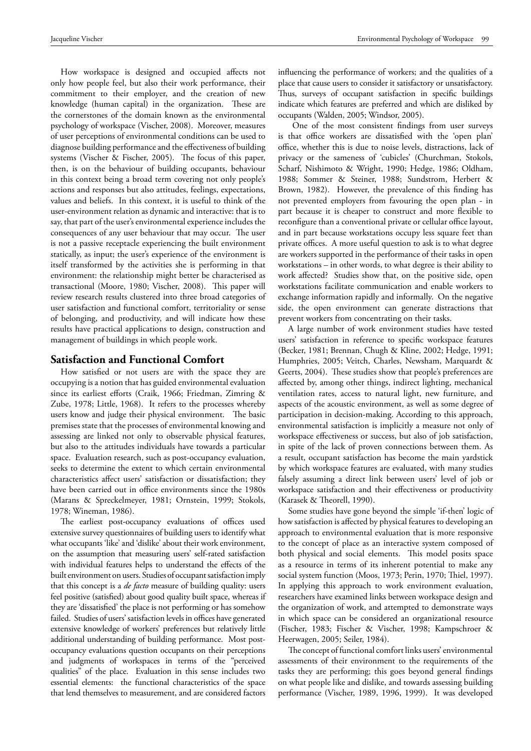How workspace is designed and occupied affects not only how people feel, but also their work performance, their commitment to their employer, and the creation of new knowledge (human capital) in the organization. These are the cornerstones of the domain known as the environmental psychology of workspace (Vischer, 2008). Moreover, measures of user perceptions of environmental conditions can be used to diagnose building performance and the effectiveness of building systems (Vischer & Fischer, 2005). The focus of this paper, then, is on the behaviour of building occupants, behaviour in this context being a broad term covering not only people's actions and responses but also attitudes, feelings, expectations, values and beliefs. In this context, it is useful to think of the user-environment relation as dynamic and interactive: that is to say, that part of the user's environmental experience includes the consequences of any user behaviour that may occur. The user is not a passive receptacle experiencing the built environment statically, as input; the user's experience of the environment is itself transformed by the activities she is performing in that environment: the relationship might better be characterised as transactional (Moore, 1980; Vischer, 2008). This paper will review research results clustered into three broad categories of user satisfaction and functional comfort, territoriality or sense of belonging, and productivity, and will indicate how these results have practical applications to design, construction and management of buildings in which people work.

### **Satisfaction and Functional Comfort**

How satisfied or not users are with the space they are occupying is a notion that has guided environmental evaluation since its earliest efforts (Craik, 1966; Friedman, Zimring & Zube, 1978; Little, 1968). It refers to the processes whereby users know and judge their physical environment. The basic premises state that the processes of environmental knowing and assessing are linked not only to observable physical features, but also to the attitudes individuals have towards a particular space. Evaluation research, such as post-occupancy evaluation, seeks to determine the extent to which certain environmental characteristics affect users' satisfaction or dissatisfaction; they have been carried out in office environments since the 1980s (Marans & Spreckelmeyer, 1981; Ornstein, 1999; Stokols, 1978; Wineman, 1986).

The earliest post-occupancy evaluations of offices used extensive survey questionnaires of building users to identify what what occupants 'like' and 'dislike' about their work environment, on the assumption that measuring users' self-rated satisfaction with individual features helps to understand the effects of the built environment on users. Studies of occupant satisfaction imply that this concept is a *de facto* measure of building quality: users feel positive (satisfied) about good quality built space, whereas if they are 'dissatisfied' the place is not performing or has somehow failed. Studies of users' satisfaction levels in offices have generated extensive knowledge of workers' preferences but relatively little additional understanding of building performance. Most postoccupancy evaluations question occupants on their perceptions and judgments of workspaces in terms of the "perceived qualities" of the place. Evaluation in this sense includes two essential elements: the functional characteristics of the space that lend themselves to measurement, and are considered factors

influencing the performance of workers; and the qualities of a place that cause users to consider it satisfactory or unsatisfactory. Thus, surveys of occupant satisfaction in specific buildings indicate which features are preferred and which are disliked by occupants (Walden, 2005; Windsor, 2005).

 One of the most consistent findings from user surveys is that office workers are dissatisfied with the 'open plan' office, whether this is due to noise levels, distractions, lack of privacy or the sameness of 'cubicles' (Churchman, Stokols, Scharf, Nishimoto & Wright, 1990; Hedge, 1986; Oldham, 1988; Sommer & Steiner, 1988; Sundstrom, Herbert & Brown, 1982). However, the prevalence of this finding has not prevented employers from favouring the open plan - in part because it is cheaper to construct and more flexible to reconfigure than a conventional private or cellular office layout, and in part because workstations occupy less square feet than private offices. A more useful question to ask is to what degree are workers supported in the performance of their tasks in open workstations – in other words, to what degree is their ability to work affected? Studies show that, on the positive side, open workstations facilitate communication and enable workers to exchange information rapidly and informally. On the negative side, the open environment can generate distractions that prevent workers from concentrating on their tasks.

A large number of work environment studies have tested users' satisfaction in reference to specific workspace features (Becker, 1981; Brennan, Chugh & Kline, 2002; Hedge, 1991; Humphries, 2005; Veitch, Charles, Newsham, Marquardt & Geerts, 2004). These studies show that people's preferences are affected by, among other things, indirect lighting, mechanical ventilation rates, access to natural light, new furniture, and aspects of the acoustic environment, as well as some degree of participation in decision-making. According to this approach, environmental satisfaction is implicitly a measure not only of workspace effectiveness or success, but also of job satisfaction, in spite of the lack of proven connections between them. As a result, occupant satisfaction has become the main yardstick by which workspace features are evaluated, with many studies falsely assuming a direct link between users' level of job or workspace satisfaction and their effectiveness or productivity (Karasek & Theorell, 1990).

Some studies have gone beyond the simple 'if-then' logic of how satisfaction is affected by physical features to developing an approach to environmental evaluation that is more responsive to the concept of place as an interactive system composed of both physical and social elements. This model posits space as a resource in terms of its inherent potential to make any social system function (Moos, 1973; Perin, 1970; Thiel, 1997). In applying this approach to work environment evaluation, researchers have examined links between workspace design and the organization of work, and attempted to demonstrate ways in which space can be considered an organizational resource (Fischer, 1983; Fischer & Vischer, 1998; Kampschroer & Heerwagen, 2005; Seiler, 1984).

The concept of functional comfort links users' environmental assessments of their environment to the requirements of the tasks they are performing; this goes beyond general findings on what people like and dislike, and towards assessing building performance (Vischer, 1989, 1996, 1999). It was developed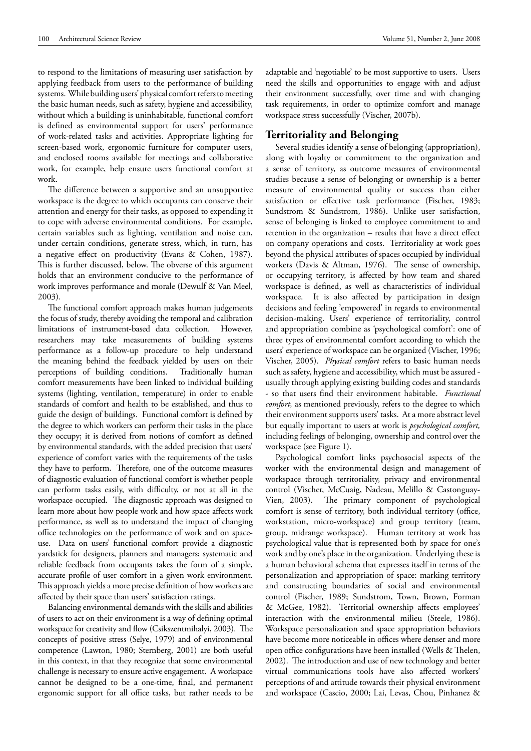to respond to the limitations of measuring user satisfaction by applying feedback from users to the performance of building systems. While building users' physical comfort refers to meeting the basic human needs, such as safety, hygiene and accessibility, without which a building is uninhabitable, functional comfort is defined as environmental support for users' performance of work-related tasks and activities. Appropriate lighting for screen-based work, ergonomic furniture for computer users, and enclosed rooms available for meetings and collaborative work, for example, help ensure users functional comfort at work.

The difference between a supportive and an unsupportive workspace is the degree to which occupants can conserve their attention and energy for their tasks, as opposed to expending it to cope with adverse environmental conditions. For example, certain variables such as lighting, ventilation and noise can, under certain conditions, generate stress, which, in turn, has a negative effect on productivity (Evans & Cohen, 1987). This is further discussed, below. The obverse of this argument holds that an environment conducive to the performance of work improves performance and morale (Dewulf & Van Meel, 2003).

The functional comfort approach makes human judgements the focus of study, thereby avoiding the temporal and calibration limitations of instrument-based data collection. However, researchers may take measurements of building systems performance as a follow-up procedure to help understand the meaning behind the feedback yielded by users on their perceptions of building conditions. Traditionally human comfort measurements have been linked to individual building systems (lighting, ventilation, temperature) in order to enable standards of comfort and health to be established, and thus to guide the design of buildings. Functional comfort is defined by the degree to which workers can perform their tasks in the place they occupy; it is derived from notions of comfort as defined by environmental standards, with the added precision that users' experience of comfort varies with the requirements of the tasks they have to perform. Therefore, one of the outcome measures of diagnostic evaluation of functional comfort is whether people can perform tasks easily, with difficulty, or not at all in the workspace occupied. The diagnostic approach was designed to learn more about how people work and how space affects work performance, as well as to understand the impact of changing office technologies on the performance of work and on spaceuse. Data on users' functional comfort provide a diagnostic yardstick for designers, planners and managers; systematic and reliable feedback from occupants takes the form of a simple, accurate profile of user comfort in a given work environment. This approach yields a more precise definition of how workers are affected by their space than users' satisfaction ratings.

Balancing environmental demands with the skills and abilities of users to act on their environment is a way of defining optimal workspace for creativity and flow (Csikszentmihalyi, 2003). The concepts of positive stress (Selye, 1979) and of environmental competence (Lawton, 1980; Sternberg, 2001) are both useful in this context, in that they recognize that some environmental challenge is necessary to ensure active engagement. A workspace cannot be designed to be a one-time, final, and permanent ergonomic support for all office tasks, but rather needs to be adaptable and 'negotiable' to be most supportive to users. Users need the skills and opportunities to engage with and adjust their environment successfully, over time and with changing task requirements, in order to optimize comfort and manage workspace stress successfully (Vischer, 2007b).

## **Territoriality and Belonging**

Several studies identify a sense of belonging (appropriation), along with loyalty or commitment to the organization and a sense of territory, as outcome measures of environmental studies because a sense of belonging or ownership is a better measure of environmental quality or success than either satisfaction or effective task performance (Fischer, 1983; Sundstrom & Sundstrom, 1986). Unlike user satisfaction, sense of belonging is linked to employee commitment to and retention in the organization – results that have a direct effect on company operations and costs. Territoriality at work goes beyond the physical attributes of spaces occupied by individual workers (Davis & Altman, 1976). The sense of ownership, or occupying territory, is affected by how team and shared workspace is defined, as well as characteristics of individual workspace. It is also affected by participation in design decisions and feeling 'empowered' in regards to environmental decision-making. Users' experience of territoriality, control and appropriation combine as 'psychological comfort': one of three types of environmental comfort according to which the users' experience of workspace can be organized (Vischer, 1996; Vischer, 2005). *Physical comfort* refers to basic human needs such as safety, hygiene and accessibility, which must be assured usually through applying existing building codes and standards - so that users find their environment habitable. *Functional comfort,* as mentioned previously, refers to the degree to which their environment supports users' tasks. At a more abstract level but equally important to users at work is *psychological comfort,* including feelings of belonging, ownership and control over the workspace (see Figure 1).

Psychological comfort links psychosocial aspects of the worker with the environmental design and management of workspace through territoriality, privacy and environmental control (Vischer, McCuaig, Nadeau, Melillo & Castonguay-Vien, 2003). The primary component of psychological comfort is sense of territory, both individual territory (office, workstation, micro-workspace) and group territory (team, group, midrange workspace). Human territory at work has psychological value that is represented both by space for one's work and by one's place in the organization. Underlying these is a human behavioral schema that expresses itself in terms of the personalization and appropriation of space: marking territory and constructing boundaries of social and environmental control (Fischer, 1989; Sundstrom, Town, Brown, Forman & McGee, 1982). Territorial ownership affects employees' interaction with the environmental milieu (Steele, 1986). Workspace personalization and space appropriation behaviors have become more noticeable in offices where denser and more open office configurations have been installed (Wells & Thelen, 2002). The introduction and use of new technology and better virtual communications tools have also affected workers' perceptions of and attitude towards their physical environment and workspace (Cascio, 2000; Lai, Levas, Chou, Pinhanez &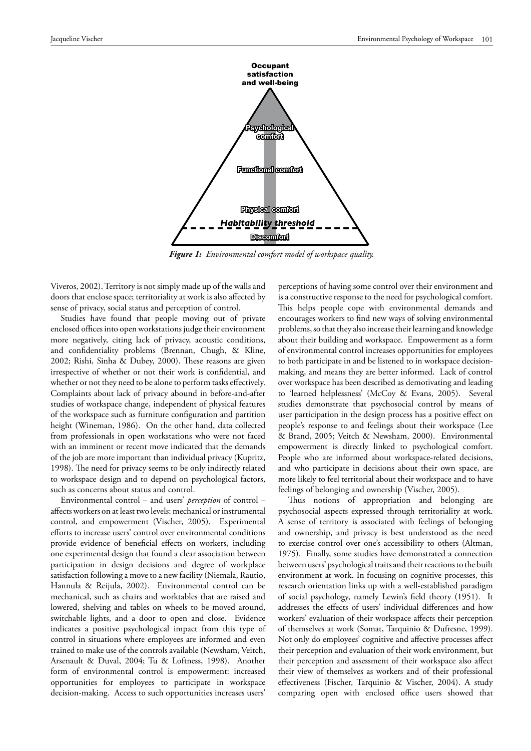

*Figure 1: Environmental comfort model of workspace quality.*

Viveros, 2002). Territory is not simply made up of the walls and doors that enclose space; territoriality at work is also affected by sense of privacy, social status and perception of control.

Studies have found that people moving out of private enclosed offices into open workstations judge their environment more negatively, citing lack of privacy, acoustic conditions, and confidentiality problems (Brennan, Chugh, & Kline, 2002; Rishi, Sinha & Dubey, 2000). These reasons are given irrespective of whether or not their work is confidential, and whether or not they need to be alone to perform tasks effectively. Complaints about lack of privacy abound in before-and-after studies of workspace change, independent of physical features of the workspace such as furniture configuration and partition height (Wineman, 1986). On the other hand, data collected from professionals in open workstations who were not faced with an imminent or recent move indicated that the demands of the job are more important than individual privacy (Kupritz, 1998). The need for privacy seems to be only indirectly related to workspace design and to depend on psychological factors, such as concerns about status and control.

Environmental control – and users' *perception* of control – affects workers on at least two levels: mechanical or instrumental control, and empowerment (Vischer, 2005). Experimental efforts to increase users' control over environmental conditions provide evidence of beneficial effects on workers, including one experimental design that found a clear association between participation in design decisions and degree of workplace satisfaction following a move to a new facility (Niemala, Rautio, Hannula & Reijula, 2002). Environmental control can be mechanical, such as chairs and worktables that are raised and lowered, shelving and tables on wheels to be moved around, switchable lights, and a door to open and close. Evidence indicates a positive psychological impact from this type of control in situations where employees are informed and even trained to make use of the controls available (Newsham, Veitch, Arsenault & Duval, 2004; Tu & Loftness, 1998). Another form of environmental control is empowerment: increased opportunities for employees to participate in workspace decision-making. Access to such opportunities increases users'

perceptions of having some control over their environment and is a constructive response to the need for psychological comfort. This helps people cope with environmental demands and encourages workers to find new ways of solving environmental problems, so that they also increase their learning and knowledge about their building and workspace. Empowerment as a form of environmental control increases opportunities for employees to both participate in and be listened to in workspace decisionmaking, and means they are better informed. Lack of control over workspace has been described as demotivating and leading to 'learned helplessness' (McCoy & Evans, 2005). Several studies demonstrate that psychosocial control by means of user participation in the design process has a positive effect on people's response to and feelings about their workspace (Lee & Brand, 2005; Veitch & Newsham, 2000). Environmental empowerment is directly linked to psychological comfort. People who are informed about workspace-related decisions, and who participate in decisions about their own space, are more likely to feel territorial about their workspace and to have feelings of belonging and ownership (Vischer, 2005).

Thus notions of appropriation and belonging are psychosocial aspects expressed through territoriality at work. A sense of territory is associated with feelings of belonging and ownership, and privacy is best understood as the need to exercise control over one's accessibility to others (Altman, 1975). Finally, some studies have demonstrated a connection between users' psychological traits and their reactions to the built environment at work. In focusing on cognitive processes, this research orientation links up with a well-established paradigm of social psychology, namely Lewin's field theory (1951). It addresses the effects of users' individual differences and how workers' evaluation of their workspace affects their perception of themselves at work (Somat, Tarquinio & Dufresne, 1999). Not only do employees' cognitive and affective processes affect their perception and evaluation of their work environment, but their perception and assessment of their workspace also affect their view of themselves as workers and of their professional effectiveness (Fischer, Tarquinio & Vischer, 2004). A study comparing open with enclosed office users showed that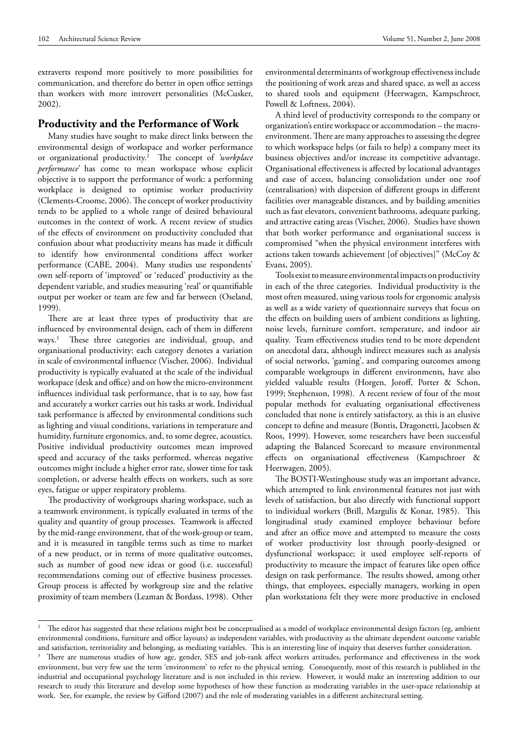extraverts respond more positively to more possibilities for communication, and therefore do better in open office settings than workers with more introvert personalities (McCusker, 2002).

## **Productivity and the Performance of Work**

Many studies have sought to make direct links between the environmental design of workspace and worker performance or organizational productivity.2 The concept of *'workplace performance'* has come to mean workspace whose explicit objective is to support the performance of work: a performing workplace is designed to optimise worker productivity (Clements-Croome, 2006). The concept of worker productivity tends to be applied to a whole range of desired behavioural outcomes in the context of work. A recent review of studies of the effects of environment on productivity concluded that confusion about what productivity means has made it difficult to identify how environmental conditions affect worker performance (CABE, 2004). Many studies use respondents' own self-reports of 'improved' or 'reduced' productivity as the dependent variable, and studies measuring 'real' or quantifiable output per worker or team are few and far between (Oseland, 1999).

There are at least three types of productivity that are influenced by environmental design, each of them in different ways.3 These three categories are individual, group, and organisational productivity: each category denotes a variation in scale of environmental influence (Vischer, 2006). Individual productivity is typically evaluated at the scale of the individual workspace (desk and office) and on how the micro-environment influences individual task performance, that is to say, how fast and accurately a worker carries out his tasks at work. Individual task performance is affected by environmental conditions such as lighting and visual conditions, variations in temperature and humidity, furniture ergonomics, and, to some degree, acoustics. Positive individual productivity outcomes mean improved speed and accuracy of the tasks performed, whereas negative outcomes might include a higher error rate, slower time for task completion, or adverse health effects on workers, such as sore eyes, fatigue or upper respiratory problems.

The productivity of workgroups sharing workspace, such as a teamwork environment, is typically evaluated in terms of the quality and quantity of group processes. Teamwork is affected by the mid-range environment, that of the work-group or team, and it is measured in tangible terms such as time to market of a new product, or in terms of more qualitative outcomes, such as number of good new ideas or good (i.e. successful) recommendations coming out of effective business processes. Group process is affected by workgroup size and the relative proximity of team members (Leaman & Bordass, 1998). Other

environmental determinants of workgroup effectiveness include the positioning of work areas and shared space, as well as access to shared tools and equipment (Heerwagen, Kampschroer, Powell & Loftness, 2004).

A third level of productivity corresponds to the company or organization's entire workspace or accommodation – the macroenvironment. There are many approaches to assessing the degree to which workspace helps (or fails to help) a company meet its business objectives and/or increase its competitive advantage. Organisational effectiveness is affected by locational advantages and ease of access, balancing consolidation under one roof (centralisation) with dispersion of different groups in different facilities over manageable distances, and by building amenities such as fast elevators, convenient bathrooms, adequate parking, and attractive eating areas (Vischer, 2006). Studies have shown that both worker performance and organisational success is compromised "when the physical environment interferes with actions taken towards achievement [of objectives]" (McCoy & Evans, 2005).

Tools exist to measure environmental impacts on productivity in each of the three categories. Individual productivity is the most often measured, using various tools for ergonomic analysis as well as a wide variety of questionnaire surveys that focus on the effects on building users of ambient conditions as lighting, noise levels, furniture comfort, temperature, and indoor air quality. Team effectiveness studies tend to be more dependent on anecdotal data, although indirect measures such as analysis of social networks, 'gaming', and comparing outcomes among comparable workgroups in different environments, have also yielded valuable results (Horgen, Joroff, Porter & Schon, 1999; Stephenson, 1998). A recent review of four of the most popular methods for evaluating organisational effectiveness concluded that none is entirely satisfactory, as this is an elusive concept to define and measure (Bontis, Dragonetti, Jacobsen & Roos, 1999). However, some researchers have been successful adapting the Balanced Scorecard to measure environmental effects on organisational effectiveness (Kampschroer & Heerwagen, 2005).

The BOSTI-Westinghouse study was an important advance, which attempted to link environmental features not just with levels of satisfaction, but also directly with functional support to individual workers (Brill, Margulis & Konar, 1985). This longitudinal study examined employee behaviour before and after an office move and attempted to measure the costs of worker productivity lost through poorly-designed or dysfunctional workspace; it used employee self-reports of productivity to measure the impact of features like open office design on task performance. The results showed, among other things, that employees, especially managers, working in open plan workstations felt they were more productive in enclosed

 $\overline{2}$  The editor has suggested that these relations might best be conceptualised as a model of workplace environmental design factors (eg, ambient environmental conditions, furniture and office layouts) as independent variables, with productivity as the ultimate dependent outcome variable and satisfaction, territoriality and belonging, as mediating variables. This is an interesting line of inquiry that deserves further consideration.

<sup>3</sup> There are numerous studies of how age, gender, SES and job-rank affect workers attitudes, performance and effectiveness in the work environment, but very few use the term 'environment' to refer to the physical setting. Consequently, most of this research is published in the industrial and occupational psychology literature and is not included in this review. However, it would make an interesting addition to our research to study this literature and develop some hypotheses of how these function as moderating variables in the user-space relationship at work. See, for example, the review by Gifford (2007) and the role of moderating variables in a different architectural setting.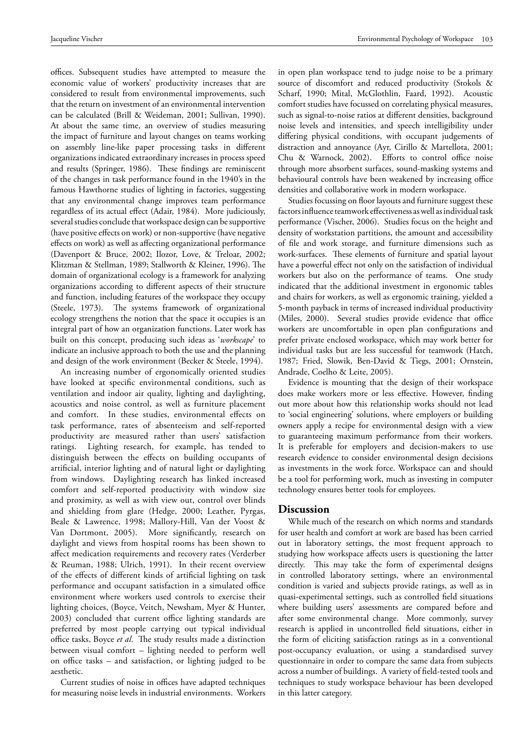offices. Subsequent studies have attempted to measure the economic value of workers' productivity increases that are considered to result from environmental improvements, such that the return on investment of an environmental intervention can be calculated (Brill & Weideman, 2001; Sullivan, 1990). At about the same time, an overview of studies measuring the impact of furniture and layout changes on teams working on assembly line-like paper processing tasks in different organizations indicated extraordinary increases in process speed and results (Springer, 1986). These findings are reminiscent of the changes in task performance found in the 1940's in the famous Hawthorne studies of lighting in factories, suggesting that any environmental change improves team performance regardless of its actual effect (Adair, 1984). More judiciously, several studies conclude that workspace design can be supportive (have positive effects on work) or non-supportive (have negative effects on work) as well as affecting organizational performance (Davenport & Bruce, 2002; Ilozor, Love, & Treloar, 2002; Klitzman & Stellman, 1989; Stallworth & Kleiner, 1996). The domain of organizational ecology is a framework for analyzing organizations according to different aspects of their structure and function, including features of the workspace they occupy (Steele, 1973). The systems framework of organizational ecology strengthens the notion that the space it occupies is an integral part of how an organization functions. Later work has built on this concept, producing such ideas as '*workscape*' to indicate an inclusive approach to both the use and the planning and design of the work environment (Becker & Steele, 1994).

An increasing number of ergonomically oriented studies have looked at specific environmental conditions, such as ventilation and indoor air quality, lighting and daylighting, acoustics and noise control, as well as furniture placement and comfort. In these studies, environmental effects on task performance, rates of absenteeism and self-reported productivity are measured rather than users' satisfaction ratings. Lighting research, for example, has tended to distinguish between the effects on building occupants of artificial, interior lighting and of natural light or daylighting from windows. Daylighting research has linked increased comfort and self-reported productivity with window size and proximity, as well as with view out, control over blinds and shielding from glare (Hedge, 2000; Leather, Pyrgas, Beale & Lawrence, 1998; Mallory-Hill, Van der Voost & Van Dortmont, 2005). More significantly, research on daylight and views from hospital rooms has been shown to affect medication requirements and recovery rates (Verderber & Reuman, 1988; Ulrich, 1991). In their recent overview of the effects of different kinds of artificial lighting on task performance and occupant satisfaction in a simulated office environment where workers used controls to exercise their lighting choices, (Boyce, Veitch, Newsham, Myer & Hunter, 2003) concluded that current office lighting standards are preferred by most people carrying out typical individual office tasks, Boyce *et al*. The study results made a distinction between visual comfort – lighting needed to perform well on office tasks – and satisfaction, or lighting judged to be aesthetic.

Current studies of noise in offices have adapted techniques for measuring noise levels in industrial environments. Workers in open plan workspace tend to judge noise to be a primary source of discomfort and reduced productivity (Stokols & Scharf, 1990; Mital, McGlothlin, Faard, 1992). Acoustic comfort studies have focussed on correlating physical measures, such as signal-to-noise ratios at different densities, background noise levels and intensities, and speech intelligibility under differing physical conditions, with occupant judgements of distraction and annoyance (Ayr, Cirillo & Martellota, 2001; Chu & Warnock, 2002). Efforts to control office noise through more absorbent surfaces, sound-masking systems and behavioural controls have been weakened by increasing office densities and collaborative work in modern workspace.

Studies focussing on floor layouts and furniture suggest these factors influence teamwork effectiveness as well as individual task performance (Vischer, 2006). Studies focus on the height and density of workstation partitions, the amount and accessibility of file and work storage, and furniture dimensions such as work-surfaces. These elements of furniture and spatial layout have a powerful effect not only on the satisfaction of individual workers but also on the performance of teams. One study indicated that the additional investment in ergonomic tables and chairs for workers, as well as ergonomic training, yielded a 5-month payback in terms of increased individual productivity (Miles, 2000). Several studies provide evidence that office workers are uncomfortable in open plan configurations and prefer private enclosed workspace, which may work better for individual tasks but are less successful for teamwork (Hatch, 1987; Fried, Slowik, Ben-David & Tiegs, 2001; Ornstein, Andrade, Coelho & Leite, 2005).

Evidence is mounting that the design of their workspace does make workers more or less effective. However, finding out more about how this relationship works should not lead to 'social engineering' solutions, where employers or building owners apply a recipe for environmental design with a view to guaranteeing maximum performance from their workers. It is preferable for employers and decision-makers to use research evidence to consider environmental design decisions as investments in the work force. Workspace can and should be a tool for performing work, much as investing in computer technology ensures better tools for employees.

## **Discussion**

While much of the research on which norms and standards for user health and comfort at work are based has been carried out in laboratory settings, the most frequent approach to studying how workspace affects users is questioning the latter directly. This may take the form of experimental designs in controlled laboratory settings, where an environmental condition is varied and subjects provide ratings, as well as in quasi-experimental settings, such as controlled field situations where building users' assessments are compared before and after some environmental change. More commonly, survey research is applied in uncontrolled field situations, either in the form of eliciting satisfaction ratings as in a conventional post-occupancy evaluation, or using a standardised survey questionnaire in order to compare the same data from subjects across a number of buildings. A variety of field-tested tools and techniques to study workspace behaviour has been developed in this latter category.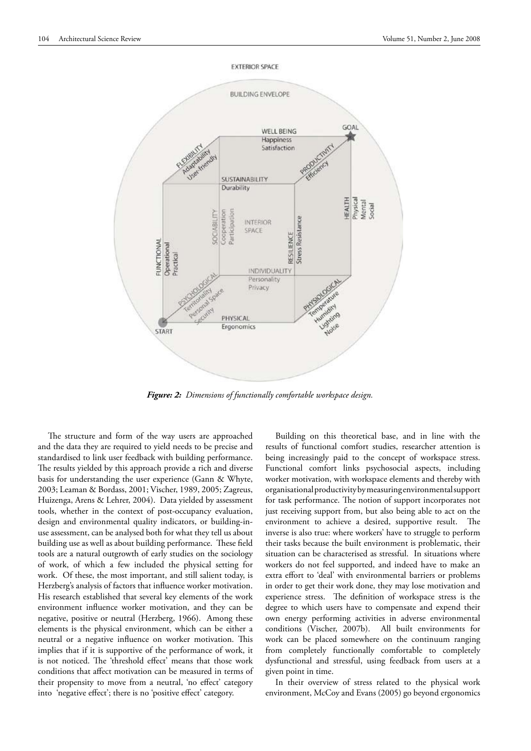

*Figure: 2: Dimensions of functionally comfortable workspace design.*

The structure and form of the way users are approached and the data they are required to yield needs to be precise and standardised to link user feedback with building performance. The results yielded by this approach provide a rich and diverse basis for understanding the user experience (Gann & Whyte, 2003; Leaman & Bordass, 2001; Vischer, 1989, 2005; Zagreus, Huizenga, Arens & Lehrer, 2004). Data yielded by assessment tools, whether in the context of post-occupancy evaluation, design and environmental quality indicators, or building-inuse assessment, can be analysed both for what they tell us about building use as well as about building performance. These field tools are a natural outgrowth of early studies on the sociology of work, of which a few included the physical setting for work. Of these, the most important, and still salient today, is Herzberg's analysis of factors that influence worker motivation. His research established that several key elements of the work environment influence worker motivation, and they can be negative, positive or neutral (Herzberg, 1966). Among these elements is the physical environment, which can be either a neutral or a negative influence on worker motivation. This implies that if it is supportive of the performance of work, it is not noticed. The 'threshold effect' means that those work conditions that affect motivation can be measured in terms of their propensity to move from a neutral, 'no effect' category into 'negative effect'; there is no 'positive effect' category.

Building on this theoretical base, and in line with the results of functional comfort studies, researcher attention is being increasingly paid to the concept of workspace stress. Functional comfort links psychosocial aspects, including worker motivation, with workspace elements and thereby with organisational productivity by measuring environmental support for task performance. The notion of support incorporates not just receiving support from, but also being able to act on the environment to achieve a desired, supportive result. The inverse is also true: where workers' have to struggle to perform their tasks because the built environment is problematic, their situation can be characterised as stressful. In situations where workers do not feel supported, and indeed have to make an extra effort to 'deal' with environmental barriers or problems in order to get their work done, they may lose motivation and experience stress. The definition of workspace stress is the degree to which users have to compensate and expend their own energy performing activities in adverse environmental conditions (Vischer, 2007b). All built environments for work can be placed somewhere on the continuum ranging from completely functionally comfortable to completely dysfunctional and stressful, using feedback from users at a given point in time.

In their overview of stress related to the physical work environment, McCoy and Evans (2005) go beyond ergonomics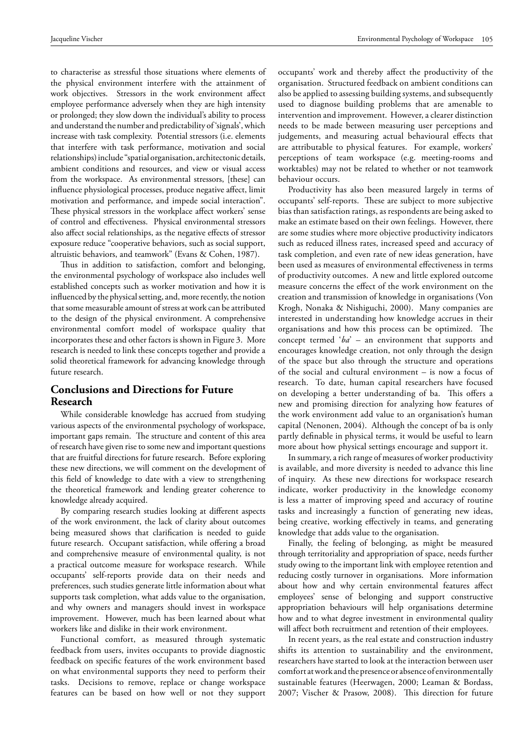to characterise as stressful those situations where elements of the physical environment interfere with the attainment of work objectives. Stressors in the work environment affect employee performance adversely when they are high intensity or prolonged; they slow down the individual's ability to process and understand the number and predictability of 'signals', which increase with task complexity. Potential stressors (i.e. elements that interfere with task performance, motivation and social relationships) include "spatial organisation, architectonic details, ambient conditions and resources, and view or visual access from the workspace. As environmental stressors, [these] can influence physiological processes, produce negative affect, limit motivation and performance, and impede social interaction". These physical stressors in the workplace affect workers' sense of control and effectiveness. Physical environmental stressors also affect social relationships, as the negative effects of stressor exposure reduce "cooperative behaviors, such as social support, altruistic behaviors, and teamwork" (Evans & Cohen, 1987).

Thus in addition to satisfaction, comfort and belonging, the environmental psychology of workspace also includes well established concepts such as worker motivation and how it is influenced by the physical setting, and, more recently, the notion that some measurable amount of stress at work can be attributed to the design of the physical environment. A comprehensive environmental comfort model of workspace quality that incorporates these and other factors is shown in Figure 3. More research is needed to link these concepts together and provide a solid theoretical framework for advancing knowledge through future research.

## **Conclusions and Directions for Future Research**

While considerable knowledge has accrued from studying various aspects of the environmental psychology of workspace, important gaps remain. The structure and content of this area of research have given rise to some new and important questions that are fruitful directions for future research. Before exploring these new directions, we will comment on the development of this field of knowledge to date with a view to strengthening the theoretical framework and lending greater coherence to knowledge already acquired.

By comparing research studies looking at different aspects of the work environment, the lack of clarity about outcomes being measured shows that clarification is needed to guide future research. Occupant satisfaction, while offering a broad and comprehensive measure of environmental quality, is not a practical outcome measure for workspace research. While occupants' self-reports provide data on their needs and preferences, such studies generate little information about what supports task completion, what adds value to the organisation, and why owners and managers should invest in workspace improvement. However, much has been learned about what workers like and dislike in their work environment.

Functional comfort, as measured through systematic feedback from users, invites occupants to provide diagnostic feedback on specific features of the work environment based on what environmental supports they need to perform their tasks. Decisions to remove, replace or change workspace features can be based on how well or not they support

occupants' work and thereby affect the productivity of the organisation. Structured feedback on ambient conditions can also be applied to assessing building systems, and subsequently used to diagnose building problems that are amenable to intervention and improvement. However, a clearer distinction needs to be made between measuring user perceptions and judgements, and measuring actual behavioural effects that are attributable to physical features. For example, workers' perceptions of team workspace (e.g. meeting-rooms and worktables) may not be related to whether or not teamwork behaviour occurs.

Productivity has also been measured largely in terms of occupants' self-reports. These are subject to more subjective bias than satisfaction ratings, as respondents are being asked to make an estimate based on their own feelings. However, there are some studies where more objective productivity indicators such as reduced illness rates, increased speed and accuracy of task completion, and even rate of new ideas generation, have been used as measures of environmental effectiveness in terms of productivity outcomes. A new and little explored outcome measure concerns the effect of the work environment on the creation and transmission of knowledge in organisations (Von Krogh, Nonaka & Nishiguchi, 2000). Many companies are interested in understanding how knowledge accrues in their organisations and how this process can be optimized. The concept termed '*ba*' – an environment that supports and encourages knowledge creation, not only through the design of the space but also through the structure and operations of the social and cultural environment – is now a focus of research. To date, human capital researchers have focused on developing a better understanding of ba. This offers a new and promising direction for analyzing how features of the work environment add value to an organisation's human capital (Nenonen, 2004). Although the concept of ba is only partly definable in physical terms, it would be useful to learn more about how physical settings encourage and support it.

In summary, a rich range of measures of worker productivity is available, and more diversity is needed to advance this line of inquiry. As these new directions for workspace research indicate, worker productivity in the knowledge economy is less a matter of improving speed and accuracy of routine tasks and increasingly a function of generating new ideas, being creative, working effectively in teams, and generating knowledge that adds value to the organisation.

Finally, the feeling of belonging, as might be measured through territoriality and appropriation of space, needs further study owing to the important link with employee retention and reducing costly turnover in organisations. More information about how and why certain environmental features affect employees' sense of belonging and support constructive appropriation behaviours will help organisations determine how and to what degree investment in environmental quality will affect both recruitment and retention of their employees.

In recent years, as the real estate and construction industry shifts its attention to sustainability and the environment, researchers have started to look at the interaction between user comfort at work and the presence or absence of environmentally sustainable features (Heerwagen, 2000; Leaman & Bordass, 2007; Vischer & Prasow, 2008). This direction for future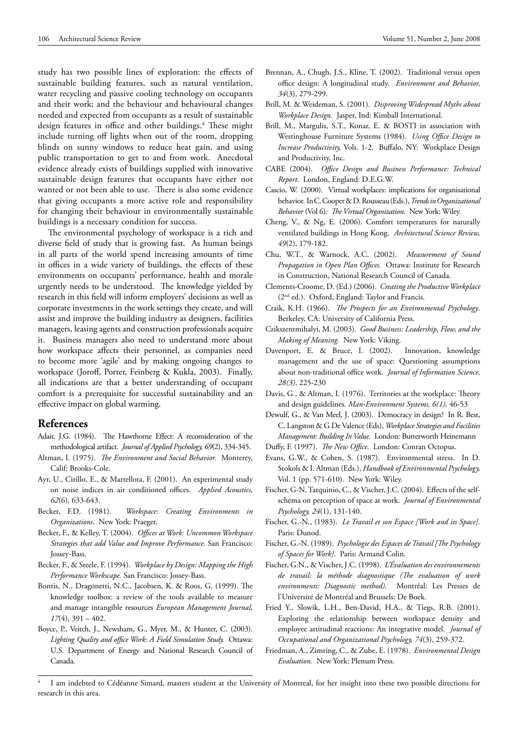study has two possible lines of exploration: the effects of sustainable building features, such as natural ventilation, water recycling and passive cooling technology on occupants and their work; and the behaviour and behavioural changes needed and expected from occupants as a result of sustainable design features in office and other buildings.<sup>4</sup> These might include turning off lights when out of the room, dropping blinds on sunny windows to reduce heat gain, and using public transportation to get to and from work. Anecdotal evidence already exists of buildings supplied with innovative sustainable design features that occupants have either not wanted or not been able to use. There is also some evidence that giving occupants a more active role and responsibility for changing their behaviour in environmentally sustainable buildings is a necessary condition for success.

The environmental psychology of workspace is a rich and diverse field of study that is growing fast. As human beings in all parts of the world spend increasing amounts of time in offices in a wide variety of buildings, the effects of these environments on occupants' performance, health and morale urgently needs to be understood. The knowledge yielded by research in this field will inform employers' decisions as well as corporate investments in the work settings they create, and will assist and improve the building industry as designers, facilities managers, leasing agents and construction professionals acquire it. Business managers also need to understand more about how workspace affects their personnel, as companies need to become more 'agile' and by making ongoing changes to workspace (Joroff, Porter, Feinberg & Kukla, 2003). Finally, all indications are that a better understanding of occupant comfort is a prerequisite for successful sustainability and an effective impact on global warming.

#### **References**

- Adair, J.G. (1984). The Hawthorne Effect: A reconsideration of the methodological artifact. *Journal of Applied Psychology, 69*(2), 334-345.
- Altman, I. (1975). *The Environment and Social Behavior.* Monterey, Calif: Brooks-Cole.
- Ayr, U., Cirillo, E., & Martellota, F. (2001). An experimental study on noise indices in air conditioned offices. *Applied Acoustics, 62*(6), 633-643.
- Becker, F.D. (1981). *Workspace: Creating Environments in Organizations*. New York: Praeger.
- Becker, F., & Kelley, T. (2004). *Offices at Work: Uncommon Workspace Strategies that add Value and Improve Performance.* San Francisco: Jossey-Bass.
- Becker, F., & Steele, F. (1994). *Workplace by Design: Mapping the High Performance Workscape.* San Francisco: Jossey-Bass.
- Bontis, N., Dragonetti, N.C., Jacobsen, K. & Roos, G. (1999). The knowledge toolbox: a review of the tools available to measure and manage intangible resources *European Management Journal, 17*(4), 391 – 402.
- Boyce, P., Veitch, J., Newsham, G., Myer, M., & Hunter, C. (2003). *Lighting Quality and office Work: A Field Simulation Study.* Ottawa: U.S. Department of Energy and National Research Council of Canada.
- Brennan, A., Chugh, J.S., Kline, T. (2002). Traditional versus open office design: A longitudinal study. *Environment and Behavior, 34*(3), 279-299.
- Brill, M. & Weideman, S. (2001). *Disproving Widespread Myths about Workplace Design.* Jasper, Ind: Kimball International.
- Brill, M., Margulis, S.T., Konar, E. & BOSTI in association with Westinghouse Furniture Systems (1984). *Using Office Design to Increase Productivity,* Vols. 1-2. Buffalo, NY: Workplace Design and Productivity, Inc.
- CABE (2004). *Office Design and Business Performance: Technical Report*. London, England: D.E.G.W.
- Cascio, W. (2000). Virtual workplaces: implications for organisational behavior. In C. Cooper & D. Rousseau (Eds.), *Trends in Organizational Behavior* (Vol 6)*: The Virtual Organization.* New York: Wiley.
- Cheng, V., & Ng, E. (2006). Comfort temperatures for naturally ventilated buildings in Hong Kong. *Architectural Science Review, 49*(2), 179-182.
- Chu, W.T., & Warnock, A.C. (2002). *Measurement of Sound Propagation in Open Plan Offices.* Ottawa: Institute for Research in Construction, National Research Council of Canada.
- Clements-Croome, D. (Ed.) (2006). *Creating the Productive Workplace*  (2nd ed.). Oxford, England: Taylor and Francis.
- Craik, K.H. (1966). *The Prospects for an Environmental Psychology*. Berkeley, CA: University of California Press.
- Czikszentmihalyi, M. (2003). *Good Business: Leadership, Flow, and the Making of Meaning.* New York: Viking.
- Davenport, E. & Bruce, I. (2002). Innovation, knowledge management and the use of space: Questioning assumptions about non-traditional office work. *Journal of Information Science, 28(3)*, 225-230
- Davis, G., & Altman, I. (1976). Territories at the workplace: Theory and design guidelines. *Man-Environment Systems, 6(1),* 46-53
- Dewulf, G., & Van Meel, J. (2003). Democracy in design? In R. Best, C. Langston & G De Valence (Eds), *Workplace Strategies and Facilities Management: Building In Value.* London: Butterworth Heinemann
- Duffy, F. (1997). *The New Office.* London: Conran Octopus.
- Evans, G.W., & Cohen, S. (1987). Environmental stress. In D. Stokols & I. Altman (Eds.), *Handbook of Environmental Psychology,*  Vol. 1 (pp. 571-610). New York: Wiley.
- Fischer, G-N, Tarquinio, C., & Vischer, J.C. (2004). Effects of the selfschema on perception of space at work. *Journal of Environmental Psychology, 24*(1), 131-140.
- Fischer, G.-N., (1983). *Le Travail et son Espace [Work and its Space].*  Paris: Dunod.
- Fischer, G.-N. (1989). *Psychologie des Espaces de Travail [The Psychology of Spaces for Work]*. Paris: Armand Colin.
- Fischer, G.N., & Vischer, J.C. (1998). *L'Évaluation des environnements de travail: la méthode diagnostique (The evaluation of work environments: Diagnostic method).* Montréal: Les Presses de l'Université de Montréal and Brussels: De Boek.
- Fried Y., Slowik, L.H., Ben-David, H.A., & Tiegs, R.B. (2001). Exploring the relationship between workspace density and employee attitudinal reactions: An integrative model. *Journal of Occupational and Organizational Psychology, 74*(3), 259-372.
- Friedman, A., Zimring, C., & Zube, E. (1978). *Environmental Design Evaluation.* New York: Plenum Press.

<sup>4</sup> I am indebted to Cédéanne Simard, masters student at the University of Montreal, for her insight into these two possible directions for research in this area.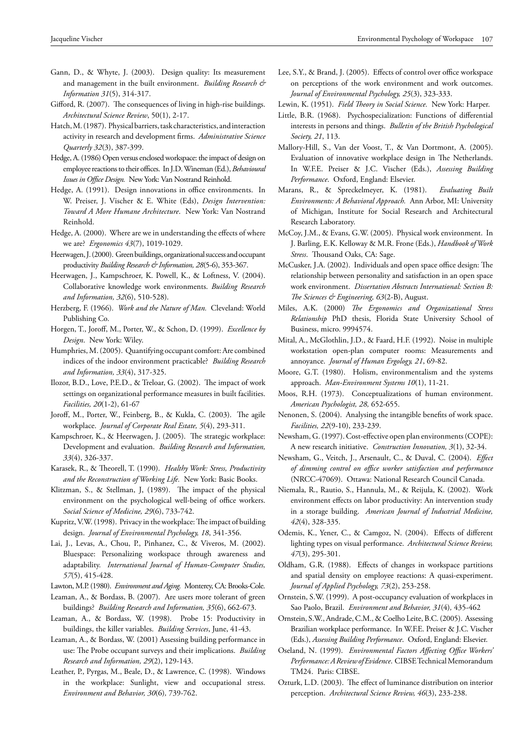- Gann, D., & Whyte, J. (2003). Design quality: Its measurement and management in the built environment. *Building Research & Information 31*(5), 314-317.
- Gifford, R. (2007). The consequences of living in high-rise buildings. *Architectural Science Review*, 50(1), 2-17.
- Hatch, M. (1987). Physical barriers, task characteristics, and interaction activity in research and development firms. *Administrative Science Quarterly 32*(3), 387-399.
- Hedge, A. (1986) Open versus enclosed workspace: the impact of design on employee reactions to their offices. In J.D. Wineman (Ed.), *Behavioural Issues in Office Design.* New York: Van Nostrand Reinhold.
- Hedge, A. (1991). Design innovations in office environments. In W. Preiser, J. Vischer & E. White (Eds), *Design Intervention: Toward A More Humane Architecture*. New York: Van Nostrand Reinhold.
- Hedge, A. (2000). Where are we in understanding the effects of where we are? *Ergonomics 43*(7), 1019-1029.
- Heerwagen, J. (2000). Green buildings, organizational success and occupant productivity *Building Research & Information, 28*(5-6), 353-367.
- Heerwagen, J., Kampschroer, K. Powell, K., & Loftness, V. (2004). Collaborative knowledge work environments. *Building Research and Information, 32*(6), 510-528).
- Herzberg, F. (1966). *Work and the Nature of Man.* Cleveland: World Publishing Co.
- Horgen, T., Joroff, M., Porter, W., & Schon, D. (1999). *Excellence by Design*. New York: Wiley.
- Humphries, M. (2005). Quantifying occupant comfort: Are combined indices of the indoor environment practicable? *Building Research and Information, 33*(4), 317-325.
- Ilozor, B.D., Love, P.E.D., & Treloar, G. (2002). The impact of work settings on organizational performance measures in built facilities. *Facilities, 20*(1-2), 61-67
- Joroff, M., Porter, W., Feinberg, B., & Kukla, C. (2003). The agile workplace. *Journal of Corporate Real Estate, 5*(4), 293-311.
- Kampschroer, K., & Heerwagen, J. (2005). The strategic workplace: Development and evaluation. *Building Research and Information, 33*(4), 326-337.
- Karasek, R., & Theorell, T. (1990). *Healthy Work: Stress, Productivity and the Reconstruction of Working Life.* New York: Basic Books.
- Klitzman, S., & Stellman, J, (1989). The impact of the physical environment on the psychological well-being of office workers. *Social Science of Medicine, 29*(6), 733-742.
- Kupritz, V.W. (1998). Privacy in the workplace: The impact of building design. *Journal of Environmental Psychology, 18*, 341-356.
- Lai, J., Levas, A., Chou, P., Pinhanez, C., & Viveros, M. (2002). Bluespace: Personalizing workspace through awareness and adaptability. *International Journal of Human-Computer Studies, 57*(5), 415-428.
- Lawton, M.P. (1980). *Environment and Aging.* Monterey, CA: Brooks-Cole.
- Leaman, A., & Bordass, B. (2007). Are users more tolerant of green buildings? *Building Research and Information, 35*(6), 662-673.
- Leaman, A., & Bordass, W. (1998). Probe 15: Productivity in buildings, the killer variables. *Building Services*, June, 41-43.
- Leaman, A., & Bordass, W. (2001) Assessing building performance in use: The Probe occupant surveys and their implications. *Building Research and Information, 29*(2), 129-143.
- Leather, P., Pyrgas, M., Beale, D., & Lawrence, C. (1998). Windows in the workplace: Sunlight, view and occupational stress. *Environment and Behavior, 30*(6)*,* 739-762.
- Lee, S.Y., & Brand, J. (2005). Effects of control over office workspace on perceptions of the work environment and work outcomes. *Journal of Environmental Psychology, 25*(3), 323-333.
- Lewin, K. (1951). *Field Theory in Social Science.* New York: Harper.
- Little, B.R. (1968). Psychospecialization: Functions of differential interests in persons and things. *Bulletin of the British Psychological Society, 21*, 113.
- Mallory-Hill, S., Van der Voost, T., & Van Dortmont, A. (2005). Evaluation of innovative workplace design in The Netherlands. In W.F.E. Preiser & J.C. Vischer (Eds.), *Assessing Building Performance*. Oxford, England: Elsevier.
- Marans, R., & Spreckelmeyer, K. (1981). *Evaluating Built Environments: A Behavioral Approach.* Ann Arbor, MI: University of Michigan, Institute for Social Research and Architectural Research Laboratory.
- McCoy, J.M., & Evans, G.W. (2005). Physical work environment. In J. Barling, E.K. Kelloway & M.R. Frone (Eds.), *Handbook of Work Stress*. Thousand Oaks, CA: Sage.
- McCusker, J.A. (2002). Individuals and open space office design: The relationship between personality and satisfaction in an open space work environment. *Dissertation Abstracts International: Section B: The Sciences & Engineering, 63*(2-B), August.
- Miles, A.K. (2000) *The Ergonomics and Organizational Stress Relationship* PhD thesis, Florida State University School of Business, micro. 9994574.
- Mital, A., McGlothlin, J.D., & Faard, H.F. (1992). Noise in multiple workstation open-plan computer rooms: Measurements and annoyance. *Journal of Human Ergology, 21*, 69-82.
- Moore, G.T. (1980). Holism, environmentalism and the systems approach. *Man-Environment Systems 10*(1), 11-21.
- Moos, R.H. (1973). Conceptualizations of human environment. *American Psychologist, 28,* 652-655.
- Nenonen, S. (2004). Analysing the intangible benefits of work space. *Facilities, 22*(9-10), 233-239.
- Newsham, G. (1997). Cost-effective open plan environments (COPE): A new research initiative. *Construction Innovation, 3*(1), 32-34.
- Newsham, G., Veitch, J., Arsenault, C., & Duval, C. (2004). *Effect of dimming control on office worker satisfaction and performance* (NRCC-47069). Ottawa: National Research Council Canada.
- Niemala, R., Rautio, S., Hannula, M., & Reijula, K. (2002). Work environment effects on labor productivity: An intervention study in a storage building. *American Journal of Industrial Medicine, 42*(4), 328-335.
- Odemis, K., Yener, C., & Camgoz, N. (2004). Effects of different lighting types on visual performance. *Architectural Science Review, 47*(3), 295-301.
- Oldham, G.R. (1988). Effects of changes in workspace partitions and spatial density on employee reactions: A quasi-experiment. *Journal of Applied Psychology, 73*(2), 253-258.
- Ornstein, S.W. (1999). A post-occupancy evaluation of workplaces in Sao Paolo, Brazil. *Environment and Behavior, 31*(4)*,* 435-462
- Ornstein, S.W., Andrade, C.M., & Coelho Leite, B.C. (2005). Assessing Brazilian workplace performance. In W.F.E. Preiser & J.C. Vischer (Eds.), *Assessing Building Performance*. Oxford, England: Elsevier.
- Oseland, N. (1999). *Environmental Factors Affecting Office Workers' Performance: A Review of Evidence*. CIBSE Technical Memorandum TM24. Paris: CIBSE.
- Ozturk, L.D. (2003). The effect of luminance distribution on interior perception. *Architectural Science Review, 46*(3), 233-238.